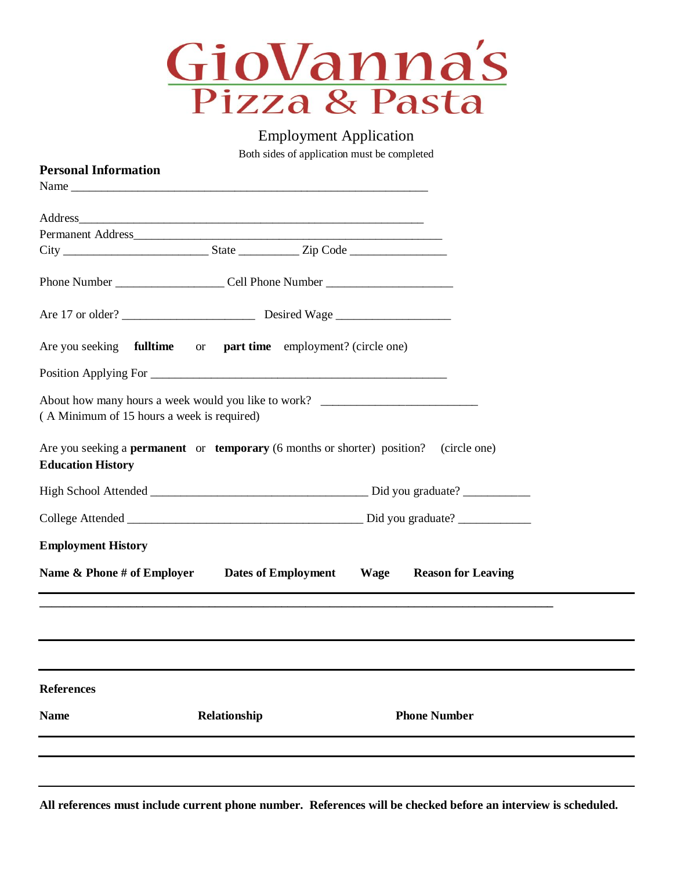

Employment Application

Both sides of application must be completed

| <b>Personal Information</b>                                                                                                     |              |      |                           |  |  |  |  |
|---------------------------------------------------------------------------------------------------------------------------------|--------------|------|---------------------------|--|--|--|--|
|                                                                                                                                 |              |      |                           |  |  |  |  |
|                                                                                                                                 |              |      |                           |  |  |  |  |
|                                                                                                                                 |              |      |                           |  |  |  |  |
|                                                                                                                                 |              |      |                           |  |  |  |  |
|                                                                                                                                 |              |      |                           |  |  |  |  |
|                                                                                                                                 |              |      |                           |  |  |  |  |
|                                                                                                                                 |              |      |                           |  |  |  |  |
| Are you seeking <b>fulltime</b> or <b>part time</b> employment? (circle one)                                                    |              |      |                           |  |  |  |  |
|                                                                                                                                 |              |      |                           |  |  |  |  |
| (A Minimum of 15 hours a week is required)                                                                                      |              |      |                           |  |  |  |  |
| Are you seeking a <b>permanent</b> or <b>temporary</b> (6 months or shorter) position? (circle one)<br><b>Education History</b> |              |      |                           |  |  |  |  |
|                                                                                                                                 |              |      |                           |  |  |  |  |
|                                                                                                                                 |              |      |                           |  |  |  |  |
| <b>Employment History</b>                                                                                                       |              |      |                           |  |  |  |  |
| Name & Phone # of Employer Dates of Employment                                                                                  |              | Wage | <b>Reason for Leaving</b> |  |  |  |  |
|                                                                                                                                 |              |      |                           |  |  |  |  |
|                                                                                                                                 |              |      |                           |  |  |  |  |
| <b>References</b>                                                                                                               |              |      |                           |  |  |  |  |
| <b>Name</b>                                                                                                                     | Relationship |      | <b>Phone Number</b>       |  |  |  |  |
|                                                                                                                                 |              |      |                           |  |  |  |  |
|                                                                                                                                 |              |      |                           |  |  |  |  |

**All references must include current phone number. References will be checked before an interview is scheduled.**